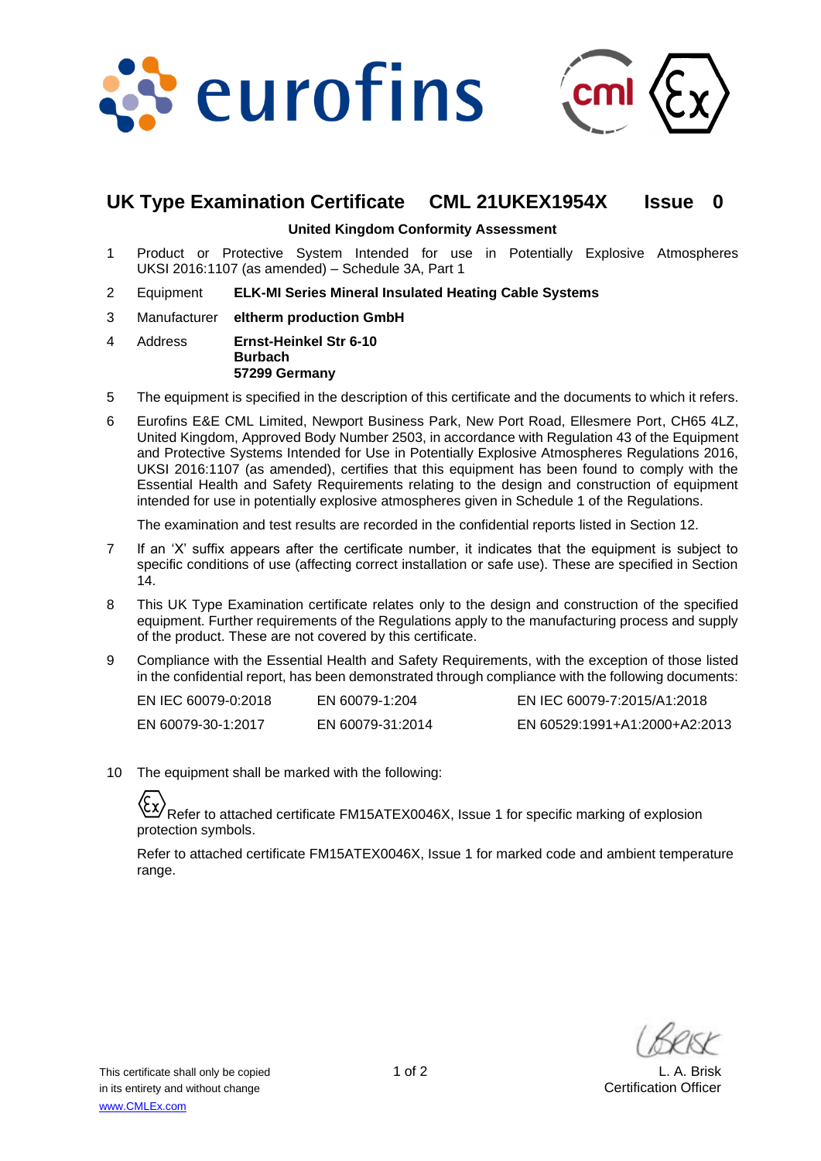



# **UK Type Examination Certificate CML 21UKEX1954X Issue 0**

#### **United Kingdom Conformity Assessment**

- 1 Product or Protective System Intended for use in Potentially Explosive Atmospheres UKSI 2016:1107 (as amended) – Schedule 3A, Part 1
- 2 Equipment **ELK-MI Series Mineral Insulated Heating Cable Systems**
- 3 Manufacturer **eltherm production GmbH**
- 4 Address **Ernst-Heinkel Str 6-10 Burbach 57299 Germany**
- 5 The equipment is specified in the description of this certificate and the documents to which it refers.
- 6 Eurofins E&E CML Limited, Newport Business Park, New Port Road, Ellesmere Port, CH65 4LZ, United Kingdom, Approved Body Number 2503, in accordance with Regulation 43 of the Equipment and Protective Systems Intended for Use in Potentially Explosive Atmospheres Regulations 2016, UKSI 2016:1107 (as amended), certifies that this equipment has been found to comply with the Essential Health and Safety Requirements relating to the design and construction of equipment intended for use in potentially explosive atmospheres given in Schedule 1 of the Regulations.

The examination and test results are recorded in the confidential reports listed in Section 12.

- 7 If an 'X' suffix appears after the certificate number, it indicates that the equipment is subject to specific conditions of use (affecting correct installation or safe use). These are specified in Section 14.
- 8 This UK Type Examination certificate relates only to the design and construction of the specified equipment. Further requirements of the Regulations apply to the manufacturing process and supply of the product. These are not covered by this certificate.
- 9 Compliance with the Essential Health and Safety Requirements, with the exception of those listed in the confidential report, has been demonstrated through compliance with the following documents:

| EN IEC 60079-0:2018 | EN 60079-1:204   | EN IEC 60079-7:2015/A1:2018   |
|---------------------|------------------|-------------------------------|
| EN 60079-30-1:2017  | EN 60079-31:2014 | EN 60529:1991+A1:2000+A2:2013 |

10 The equipment shall be marked with the following:

Refer to attached certificate FM15ATEX0046X, Issue 1 for specific marking of explosion protection symbols.

Refer to attached certificate FM15ATEX0046X, Issue 1 for marked code and ambient temperature range.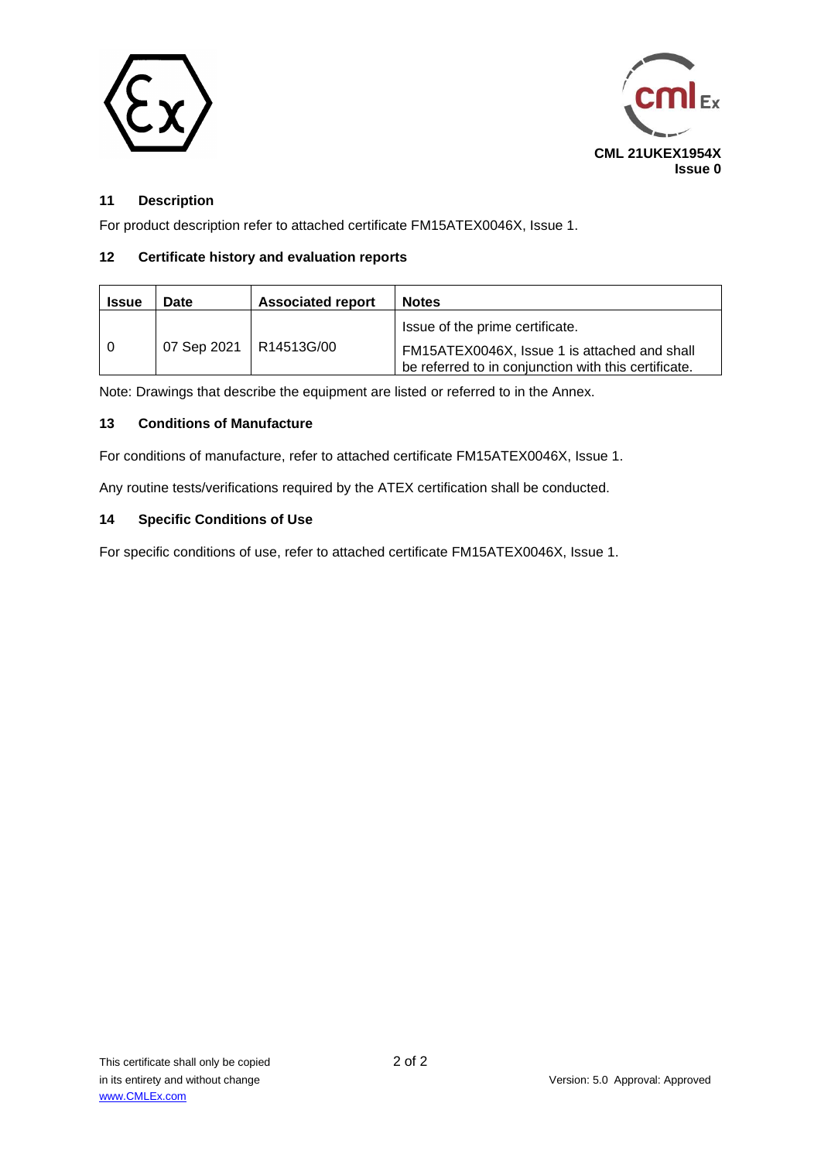



## **11 Description**

For product description refer to attached certificate FM15ATEX0046X, Issue 1.

### **12 Certificate history and evaluation reports**

| <b>Issue</b> | Date                     | <b>Associated report</b> | <b>Notes</b>                                                                                                                            |
|--------------|--------------------------|--------------------------|-----------------------------------------------------------------------------------------------------------------------------------------|
|              | 07 Sep 2021   R14513G/00 |                          | Issue of the prime certificate.<br>FM15ATEX0046X, Issue 1 is attached and shall<br>be referred to in conjunction with this certificate. |

Note: Drawings that describe the equipment are listed or referred to in the Annex.

#### **13 Conditions of Manufacture**

For conditions of manufacture, refer to attached certificate FM15ATEX0046X, Issue 1.

Any routine tests/verifications required by the ATEX certification shall be conducted.

#### **14 Specific Conditions of Use**

For specific conditions of use, refer to attached certificate FM15ATEX0046X, Issue 1.